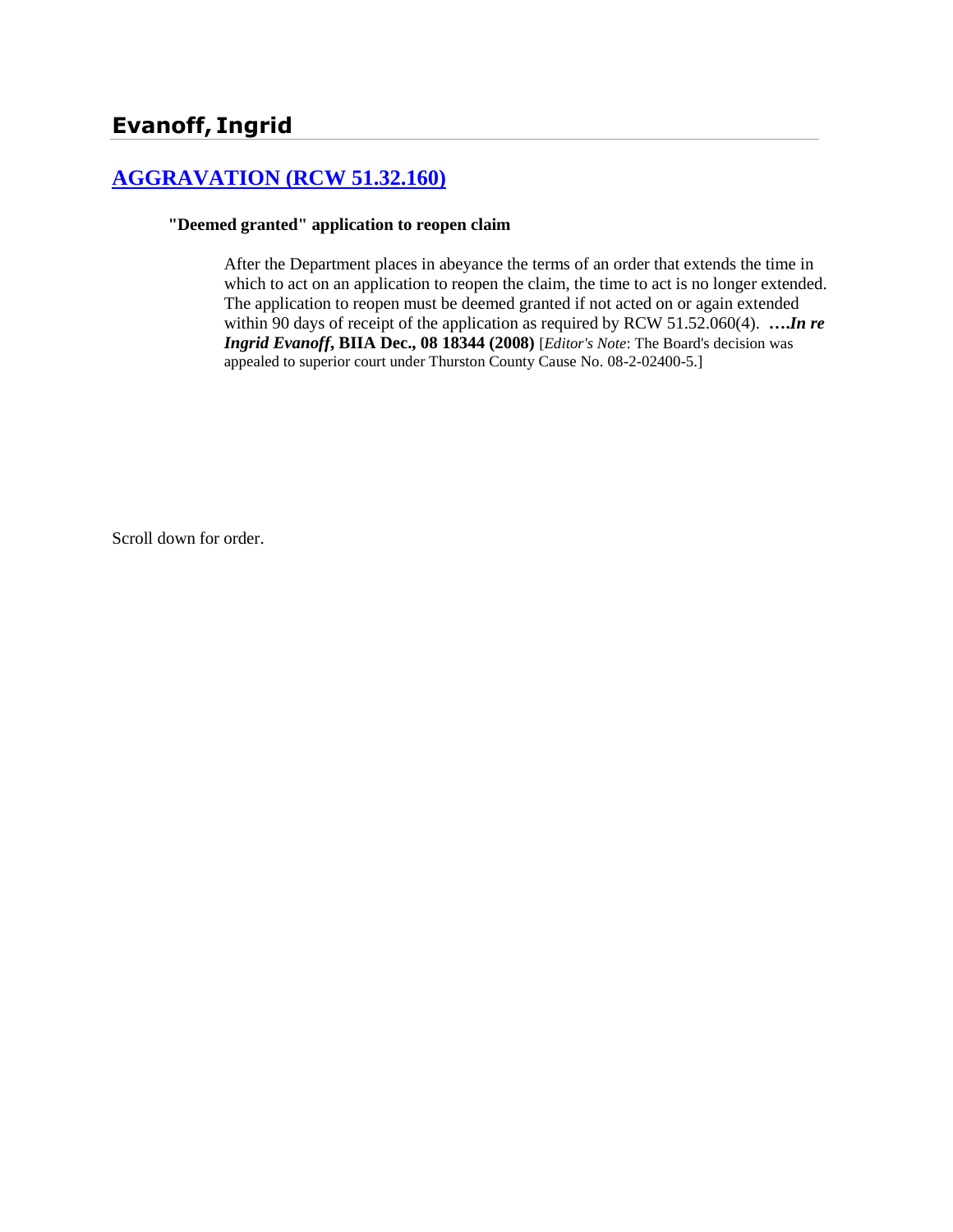# **Evanoff, Ingrid**

## **[AGGRAVATION \(RCW 51.32.160\)](http://www.biia.wa.gov/SDSubjectIndex.html#AGGRAVATION)**

#### **"Deemed granted" application to reopen claim**

After the Department places in abeyance the terms of an order that extends the time in which to act on an application to reopen the claim, the time to act is no longer extended. The application to reopen must be deemed granted if not acted on or again extended within 90 days of receipt of the application as required by RCW 51.52.060(4). **….***In re Ingrid Evanoff***, BIIA Dec., 08 18344 (2008)** [*Editor's Note*: The Board's decision was appealed to superior court under Thurston County Cause No. 08-2-02400-5.]

Scroll down for order.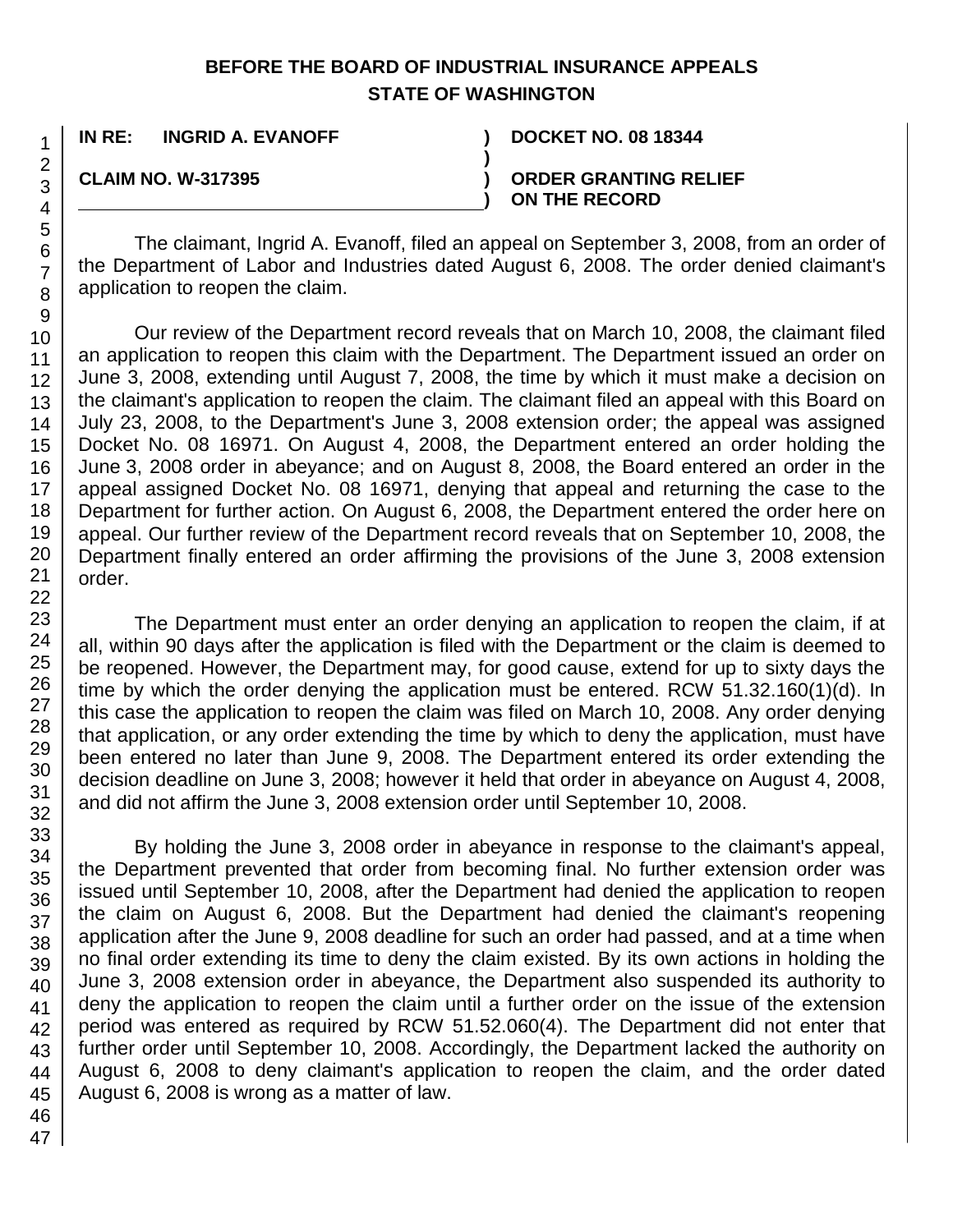## **BEFORE THE BOARD OF INDUSTRIAL INSURANCE APPEALS STATE OF WASHINGTON**

**)**

**)**

**IN RE: INGRID A. EVANOFF ) DOCKET NO. 08 18344**

**CLAIM NO. W-317395 )**

**ORDER GRANTING RELIEF ON THE RECORD**

The claimant, Ingrid A. Evanoff, filed an appeal on September 3, 2008, from an order of the Department of Labor and Industries dated August 6, 2008. The order denied claimant's application to reopen the claim.

Our review of the Department record reveals that on March 10, 2008, the claimant filed an application to reopen this claim with the Department. The Department issued an order on June 3, 2008, extending until August 7, 2008, the time by which it must make a decision on the claimant's application to reopen the claim. The claimant filed an appeal with this Board on July 23, 2008, to the Department's June 3, 2008 extension order; the appeal was assigned Docket No. 08 16971. On August 4, 2008, the Department entered an order holding the June 3, 2008 order in abeyance; and on August 8, 2008, the Board entered an order in the appeal assigned Docket No. 08 16971, denying that appeal and returning the case to the Department for further action. On August 6, 2008, the Department entered the order here on appeal. Our further review of the Department record reveals that on September 10, 2008, the Department finally entered an order affirming the provisions of the June 3, 2008 extension order.

The Department must enter an order denying an application to reopen the claim, if at all, within 90 days after the application is filed with the Department or the claim is deemed to be reopened. However, the Department may, for good cause, extend for up to sixty days the time by which the order denying the application must be entered. RCW 51.32.160(1)(d). In this case the application to reopen the claim was filed on March 10, 2008. Any order denying that application, or any order extending the time by which to deny the application, must have been entered no later than June 9, 2008. The Department entered its order extending the decision deadline on June 3, 2008; however it held that order in abeyance on August 4, 2008, and did not affirm the June 3, 2008 extension order until September 10, 2008.

By holding the June 3, 2008 order in abeyance in response to the claimant's appeal, the Department prevented that order from becoming final. No further extension order was issued until September 10, 2008, after the Department had denied the application to reopen the claim on August 6, 2008. But the Department had denied the claimant's reopening application after the June 9, 2008 deadline for such an order had passed, and at a time when no final order extending its time to deny the claim existed. By its own actions in holding the June 3, 2008 extension order in abeyance, the Department also suspended its authority to deny the application to reopen the claim until a further order on the issue of the extension period was entered as required by RCW 51.52.060(4). The Department did not enter that further order until September 10, 2008. Accordingly, the Department lacked the authority on August 6, 2008 to deny claimant's application to reopen the claim, and the order dated August 6, 2008 is wrong as a matter of law.